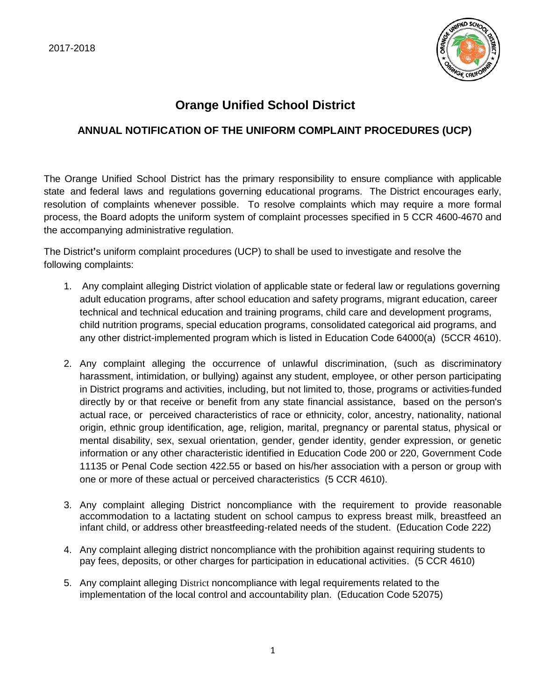

## **Orange Unified School District**

## **ANNUAL NOTIFICATION OF THE UNIFORM COMPLAINT PROCEDURES (UCP)**

The Orange Unified School District has the primary responsibility to ensure compliance with applicable state and federal laws and regulations governing educational programs. The District encourages early, resolution of complaints whenever possible. To resolve complaints which may require a more formal process, the Board adopts the uniform system of complaint processes specified in 5 CCR 4600-4670 and the accompanying administrative regulation.

The District**'**s uniform complaint procedures (UCP) to shall be used to investigate and resolve the following complaints:

- 1. Any complaint alleging District violation of applicable state or federal law or regulations governing adult education programs, after school education and safety programs, migrant education, career technical and technical education and training programs, child care and development programs, child nutrition programs, special education programs, consolidated categorical aid programs, and any other district-implemented program which is listed in Education Code 64000(a) (5CCR 4610).
- 2. Any complaint alleging the occurrence of unlawful discrimination, (such as discriminatory harassment, intimidation, or bullying) against any student, employee, or other person participating in District programs and activities, including, but not limited to, those, programs or activities funded directly by or that receive or benefit from any state financial assistance, based on the person's actual race, or perceived characteristics of race or ethnicity, color, ancestry, nationality, national origin, ethnic group identification, age, religion, marital, pregnancy or parental status, physical or mental disability, sex, sexual orientation, gender, gender identity, gender expression, or genetic information or any other characteristic identified in Education Code 200 or 220, Government Code 11135 or Penal Code section 422.55 or based on his/her association with a person or group with one or more of these actual or perceived characteristics (5 CCR 4610).
- 3. Any complaint alleging District noncompliance with the requirement to provide reasonable accommodation to a lactating student on school campus to express breast milk, breastfeed an infant child, or address other breastfeeding-related needs of the student. (Education Code 222)
- 4. Any complaint alleging district noncompliance with the prohibition against requiring students to pay fees, deposits, or other charges for participation in educational activities. (5 CCR 4610)
- 5. Any complaint alleging District noncompliance with legal requirements related to the implementation of the local control and accountability plan. (Education Code 52075)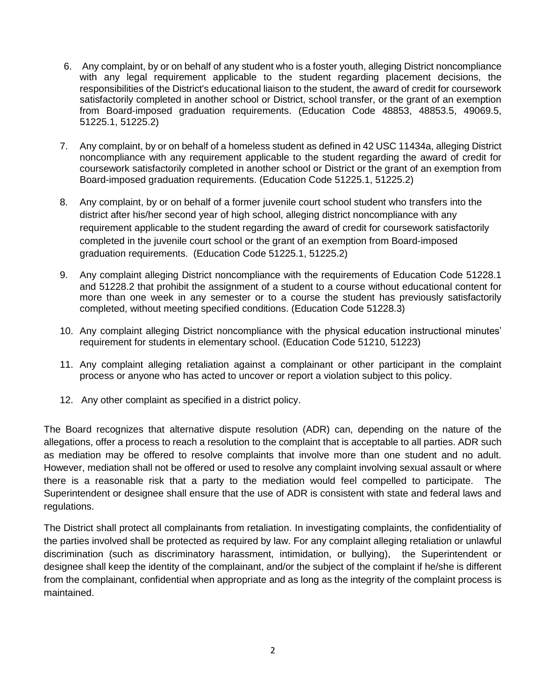- 6. Any complaint, by or on behalf of any student who is a foster youth, alleging District noncompliance with any legal requirement applicable to the student regarding placement decisions, the responsibilities of the District's educational liaison to the student, the award of credit for coursework satisfactorily completed in another school or District, school transfer, or the grant of an exemption from Board-imposed graduation requirements. (Education Code 48853, 48853.5, 49069.5, 51225.1, 51225.2)
- 7. Any complaint, by or on behalf of a homeless student as defined in 42 USC 11434a, alleging District noncompliance with any requirement applicable to the student regarding the award of credit for coursework satisfactorily completed in another school or District or the grant of an exemption from Board-imposed graduation requirements. (Education Code 51225.1, 51225.2)
- 8. Any complaint, by or on behalf of a former juvenile court school student who transfers into the district after his/her second year of high school, alleging district noncompliance with any requirement applicable to the student regarding the award of credit for coursework satisfactorily completed in the juvenile court school or the grant of an exemption from Board-imposed graduation requirements. (Education Code 51225.1, 51225.2)
- 9. Any complaint alleging District noncompliance with the requirements of Education Code 51228.1 and 51228.2 that prohibit the assignment of a student to a course without educational content for more than one week in any semester or to a course the student has previously satisfactorily completed, without meeting specified conditions. (Education Code 51228.3)
- 10. Any complaint alleging District noncompliance with the physical education instructional minutes' requirement for students in elementary school. (Education Code 51210, 51223)
- 11. Any complaint alleging retaliation against a complainant or other participant in the complaint process or anyone who has acted to uncover or report a violation subject to this policy.
- 12. Any other complaint as specified in a district policy.

The Board recognizes that alternative dispute resolution (ADR) can, depending on the nature of the allegations, offer a process to reach a resolution to the complaint that is acceptable to all parties. ADR such as mediation may be offered to resolve complaints that involve more than one student and no adult. However, mediation shall not be offered or used to resolve any complaint involving sexual assault or where there is a reasonable risk that a party to the mediation would feel compelled to participate. The Superintendent or designee shall ensure that the use of ADR is consistent with state and federal laws and regulations.

The District shall protect all complainants from retaliation. In investigating complaints, the confidentiality of the parties involved shall be protected as required by law. For any complaint alleging retaliation or unlawful discrimination (such as discriminatory harassment, intimidation, or bullying), the Superintendent or designee shall keep the identity of the complainant, and/or the subject of the complaint if he/she is different from the complainant, confidential when appropriate and as long as the integrity of the complaint process is maintained.